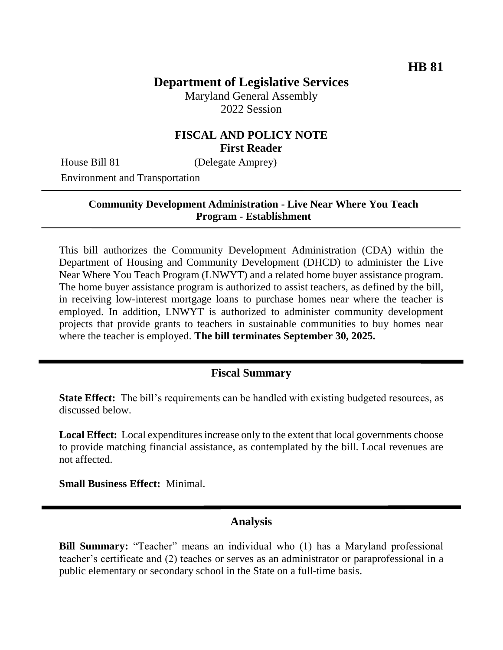# **Department of Legislative Services**

Maryland General Assembly 2022 Session

## **FISCAL AND POLICY NOTE First Reader**

House Bill 81 (Delegate Amprey)

Environment and Transportation

#### **Community Development Administration - Live Near Where You Teach Program - Establishment**

This bill authorizes the Community Development Administration (CDA) within the Department of Housing and Community Development (DHCD) to administer the Live Near Where You Teach Program (LNWYT) and a related home buyer assistance program. The home buyer assistance program is authorized to assist teachers, as defined by the bill, in receiving low-interest mortgage loans to purchase homes near where the teacher is employed. In addition, LNWYT is authorized to administer community development projects that provide grants to teachers in sustainable communities to buy homes near where the teacher is employed. **The bill terminates September 30, 2025.**

## **Fiscal Summary**

**State Effect:** The bill's requirements can be handled with existing budgeted resources, as discussed below.

**Local Effect:** Local expenditures increase only to the extent that local governments choose to provide matching financial assistance, as contemplated by the bill. Local revenues are not affected.

**Small Business Effect:** Minimal.

#### **Analysis**

**Bill Summary:** "Teacher" means an individual who (1) has a Maryland professional teacher's certificate and (2) teaches or serves as an administrator or paraprofessional in a public elementary or secondary school in the State on a full-time basis.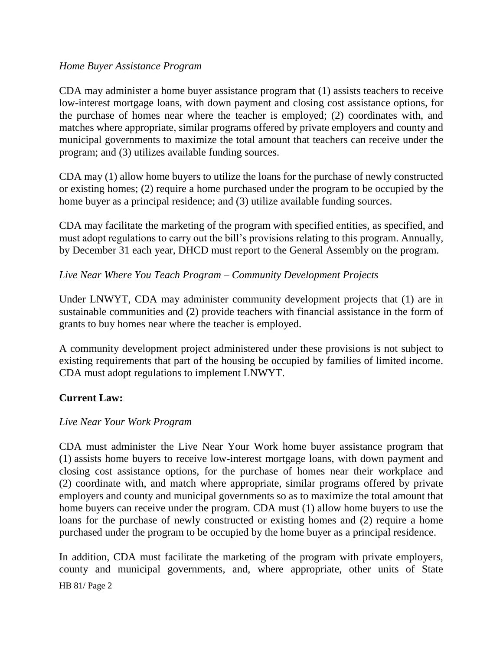#### *Home Buyer Assistance Program*

CDA may administer a home buyer assistance program that (1) assists teachers to receive low-interest mortgage loans, with down payment and closing cost assistance options, for the purchase of homes near where the teacher is employed; (2) coordinates with, and matches where appropriate, similar programs offered by private employers and county and municipal governments to maximize the total amount that teachers can receive under the program; and (3) utilizes available funding sources.

CDA may (1) allow home buyers to utilize the loans for the purchase of newly constructed or existing homes; (2) require a home purchased under the program to be occupied by the home buyer as a principal residence; and (3) utilize available funding sources.

CDA may facilitate the marketing of the program with specified entities, as specified, and must adopt regulations to carry out the bill's provisions relating to this program. Annually, by December 31 each year, DHCD must report to the General Assembly on the program.

## *Live Near Where You Teach Program – Community Development Projects*

Under LNWYT, CDA may administer community development projects that (1) are in sustainable communities and (2) provide teachers with financial assistance in the form of grants to buy homes near where the teacher is employed.

A community development project administered under these provisions is not subject to existing requirements that part of the housing be occupied by families of limited income. CDA must adopt regulations to implement LNWYT.

## **Current Law:**

## *Live Near Your Work Program*

CDA must administer the Live Near Your Work home buyer assistance program that (1) assists home buyers to receive low-interest mortgage loans, with down payment and closing cost assistance options, for the purchase of homes near their workplace and (2) coordinate with, and match where appropriate, similar programs offered by private employers and county and municipal governments so as to maximize the total amount that home buyers can receive under the program. CDA must (1) allow home buyers to use the loans for the purchase of newly constructed or existing homes and (2) require a home purchased under the program to be occupied by the home buyer as a principal residence.

HB 81/ Page 2 In addition, CDA must facilitate the marketing of the program with private employers, county and municipal governments, and, where appropriate, other units of State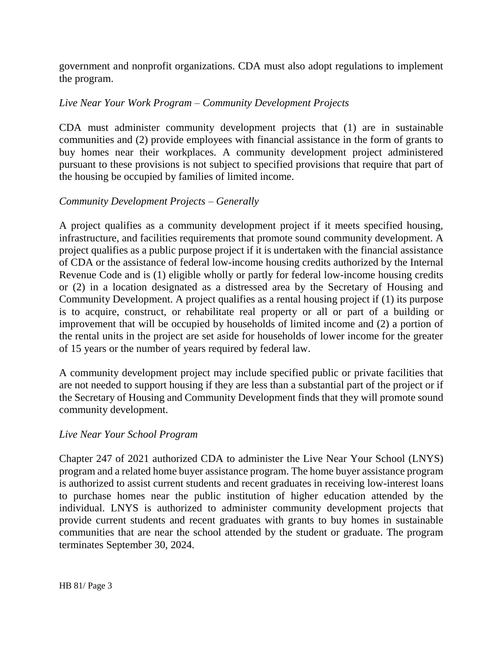government and nonprofit organizations. CDA must also adopt regulations to implement the program.

## *Live Near Your Work Program – Community Development Projects*

CDA must administer community development projects that (1) are in sustainable communities and (2) provide employees with financial assistance in the form of grants to buy homes near their workplaces. A community development project administered pursuant to these provisions is not subject to specified provisions that require that part of the housing be occupied by families of limited income.

## *Community Development Projects – Generally*

A project qualifies as a community development project if it meets specified housing, infrastructure, and facilities requirements that promote sound community development. A project qualifies as a public purpose project if it is undertaken with the financial assistance of CDA or the assistance of federal low-income housing credits authorized by the Internal Revenue Code and is (1) eligible wholly or partly for federal low-income housing credits or (2) in a location designated as a distressed area by the Secretary of Housing and Community Development. A project qualifies as a rental housing project if (1) its purpose is to acquire, construct, or rehabilitate real property or all or part of a building or improvement that will be occupied by households of limited income and (2) a portion of the rental units in the project are set aside for households of lower income for the greater of 15 years or the number of years required by federal law.

A community development project may include specified public or private facilities that are not needed to support housing if they are less than a substantial part of the project or if the Secretary of Housing and Community Development finds that they will promote sound community development.

## *Live Near Your School Program*

Chapter 247 of 2021 authorized CDA to administer the Live Near Your School (LNYS) program and a related home buyer assistance program. The home buyer assistance program is authorized to assist current students and recent graduates in receiving low-interest loans to purchase homes near the public institution of higher education attended by the individual. LNYS is authorized to administer community development projects that provide current students and recent graduates with grants to buy homes in sustainable communities that are near the school attended by the student or graduate. The program terminates September 30, 2024.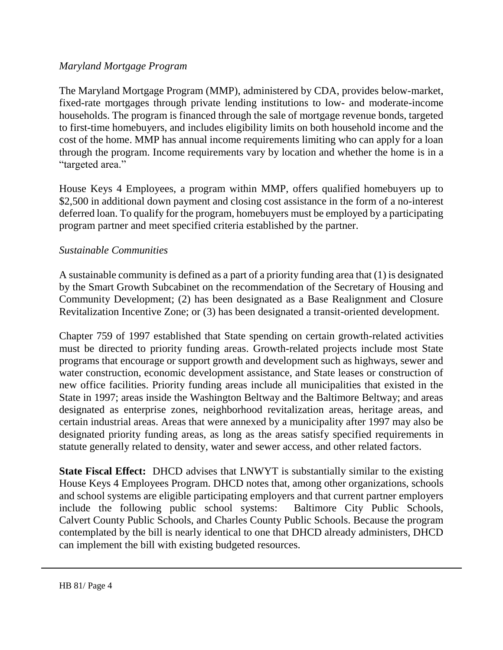#### *Maryland Mortgage Program*

The Maryland Mortgage Program (MMP), administered by CDA, provides below-market, fixed-rate mortgages through private lending institutions to low- and moderate-income households. The program is financed through the sale of mortgage revenue bonds, targeted to first-time homebuyers, and includes eligibility limits on both household income and the cost of the home. MMP has annual income requirements limiting who can apply for a loan through the program. Income requirements vary by location and whether the home is in a "targeted area."

House Keys 4 Employees, a program within MMP, offers qualified homebuyers up to \$2,500 in additional down payment and closing cost assistance in the form of a no-interest deferred loan. To qualify for the program, homebuyers must be employed by a participating program partner and meet specified criteria established by the partner.

#### *Sustainable Communities*

A sustainable community is defined as a part of a priority funding area that (1) is designated by the Smart Growth Subcabinet on the recommendation of the Secretary of Housing and Community Development; (2) has been designated as a Base Realignment and Closure Revitalization Incentive Zone; or (3) has been designated a transit-oriented development.

Chapter 759 of 1997 established that State spending on certain growth-related activities must be directed to priority funding areas. Growth-related projects include most State programs that encourage or support growth and development such as highways, sewer and water construction, economic development assistance, and State leases or construction of new office facilities. Priority funding areas include all municipalities that existed in the State in 1997; areas inside the Washington Beltway and the Baltimore Beltway; and areas designated as enterprise zones, neighborhood revitalization areas, heritage areas, and certain industrial areas. Areas that were annexed by a municipality after 1997 may also be designated priority funding areas, as long as the areas satisfy specified requirements in statute generally related to density, water and sewer access, and other related factors.

**State Fiscal Effect:** DHCD advises that LNWYT is substantially similar to the existing House Keys 4 Employees Program. DHCD notes that, among other organizations, schools and school systems are eligible participating employers and that current partner employers include the following public school systems: Baltimore City Public Schools, Calvert County Public Schools, and Charles County Public Schools. Because the program contemplated by the bill is nearly identical to one that DHCD already administers, DHCD can implement the bill with existing budgeted resources.